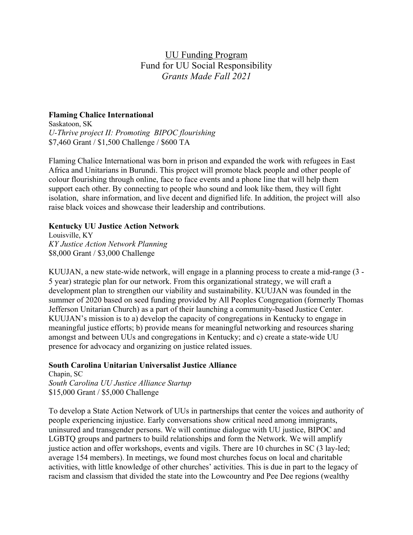# UU Funding Program Fund for UU Social Responsibility *Grants Made Fall 2021*

# **Flaming Chalice International**

Saskatoon, SK *U-Thrive project II: Promoting BIPOC flourishing*  \$7,460 Grant / \$1,500 Challenge / \$600 TA

Flaming Chalice International was born in prison and expanded the work with refugees in East Africa and Unitarians in Burundi. This project will promote black people and other people of colour flourishing through online, face to face events and a phone line that will help them support each other. By connecting to people who sound and look like them, they will fight isolation, share information, and live decent and dignified life. In addition, the project will also raise black voices and showcase their leadership and contributions.

## **Kentucky UU Justice Action Network**

Louisville, KY *KY Justice Action Network Planning* \$8,000 Grant / \$3,000 Challenge

KUUJAN, a new state-wide network, will engage in a planning process to create a mid-range (3 - 5 year) strategic plan for our network. From this organizational strategy, we will craft a development plan to strengthen our viability and sustainability. KUUJAN was founded in the summer of 2020 based on seed funding provided by All Peoples Congregation (formerly Thomas Jefferson Unitarian Church) as a part of their launching a community-based Justice Center. KUUJAN's mission is to a) develop the capacity of congregations in Kentucky to engage in meaningful justice efforts; b) provide means for meaningful networking and resources sharing amongst and between UUs and congregations in Kentucky; and c) create a state-wide UU presence for advocacy and organizing on justice related issues.

## **South Carolina Unitarian Universalist Justice Alliance**

Chapin, SC *South Carolina UU Justice Alliance Startup* \$15,000 Grant / \$5,000 Challenge

To develop a State Action Network of UUs in partnerships that center the voices and authority of people experiencing injustice. Early conversations show critical need among immigrants, uninsured and transgender persons. We will continue dialogue with UU justice, BIPOC and LGBTQ groups and partners to build relationships and form the Network. We will amplify justice action and offer workshops, events and vigils. There are 10 churches in SC (3 lay-led; average 154 members). In meetings, we found most churches focus on local and charitable activities, with little knowledge of other churches' activities. This is due in part to the legacy of racism and classism that divided the state into the Lowcountry and Pee Dee regions (wealthy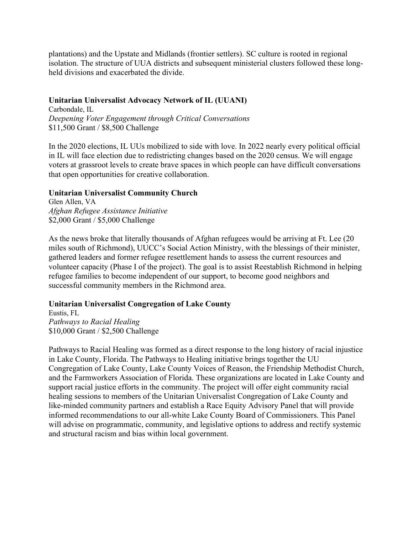plantations) and the Upstate and Midlands (frontier settlers). SC culture is rooted in regional isolation. The structure of UUA districts and subsequent ministerial clusters followed these longheld divisions and exacerbated the divide.

#### **Unitarian Universalist Advocacy Network of IL (UUANI)**

Carbondale, IL *Deepening Voter Engagement through Critical Conversations* \$11,500 Grant / \$8,500 Challenge

In the 2020 elections, IL UUs mobilized to side with love. In 2022 nearly every political official in IL will face election due to redistricting changes based on the 2020 census. We will engage voters at grassroot levels to create brave spaces in which people can have difficult conversations that open opportunities for creative collaboration.

## **Unitarian Universalist Community Church**

Glen Allen, VA *Afghan Refugee Assistance Initiative* \$2,000 Grant / \$5,000 Challenge

As the news broke that literally thousands of Afghan refugees would be arriving at Ft. Lee (20 miles south of Richmond), UUCC's Social Action Ministry, with the blessings of their minister, gathered leaders and former refugee resettlement hands to assess the current resources and volunteer capacity (Phase I of the project). The goal is to assist Reestablish Richmond in helping refugee families to become independent of our support, to become good neighbors and successful community members in the Richmond area.

## **Unitarian Universalist Congregation of Lake County**

Eustis, FL *Pathways to Racial Healing* \$10,000 Grant / \$2,500 Challenge

Pathways to Racial Healing was formed as a direct response to the long history of racial injustice in Lake County, Florida. The Pathways to Healing initiative brings together the UU Congregation of Lake County, Lake County Voices of Reason, the Friendship Methodist Church, and the Farmworkers Association of Florida. These organizations are located in Lake County and support racial justice efforts in the community. The project will offer eight community racial healing sessions to members of the Unitarian Universalist Congregation of Lake County and like-minded community partners and establish a Race Equity Advisory Panel that will provide informed recommendations to our all-white Lake County Board of Commissioners. This Panel will advise on programmatic, community, and legislative options to address and rectify systemic and structural racism and bias within local government.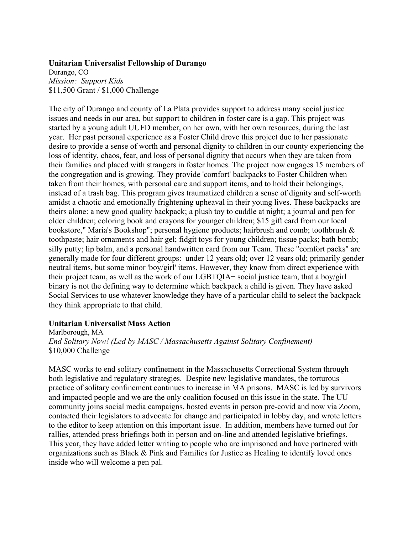#### **Unitarian Universalist Fellowship of Durango**

Durango, CO *Mission: Support Kids* \$11,500 Grant / \$1,000 Challenge

The city of Durango and county of La Plata provides support to address many social justice issues and needs in our area, but support to children in foster care is a gap. This project was started by a young adult UUFD member, on her own, with her own resources, during the last year. Her past personal experience as a Foster Child drove this project due to her passionate desire to provide a sense of worth and personal dignity to children in our county experiencing the loss of identity, chaos, fear, and loss of personal dignity that occurs when they are taken from their families and placed with strangers in foster homes. The project now engages 15 members of the congregation and is growing. They provide 'comfort' backpacks to Foster Children when taken from their homes, with personal care and support items, and to hold their belongings, instead of a trash bag. This program gives traumatized children a sense of dignity and self-worth amidst a chaotic and emotionally frightening upheaval in their young lives. These backpacks are theirs alone: a new good quality backpack; a plush toy to cuddle at night; a journal and pen for older children; coloring book and crayons for younger children; \$15 gift card from our local bookstore," Maria's Bookshop"; personal hygiene products; hairbrush and comb; toothbrush & toothpaste; hair ornaments and hair gel; fidgit toys for young children; tissue packs; bath bomb; silly putty; lip balm, and a personal handwritten card from our Team. These "comfort packs" are generally made for four different groups: under 12 years old; over 12 years old; primarily gender neutral items, but some minor 'boy/girl' items. However, they know from direct experience with their project team, as well as the work of our LGBTQIA+ social justice team, that a boy/girl binary is not the defining way to determine which backpack a child is given. They have asked Social Services to use whatever knowledge they have of a particular child to select the backpack they think appropriate to that child.

## **Unitarian Universalist Mass Action**

Marlborough, MA

*End Solitary Now! (Led by MASC / Massachusetts Against Solitary Confinement)* \$10,000 Challenge

MASC works to end solitary confinement in the Massachusetts Correctional System through both legislative and regulatory strategies. Despite new legislative mandates, the torturous practice of solitary confinement continues to increase in MA prisons. MASC is led by survivors and impacted people and we are the only coalition focused on this issue in the state. The UU community joins social media campaigns, hosted events in person pre-covid and now via Zoom, contacted their legislators to advocate for change and participated in lobby day, and wrote letters to the editor to keep attention on this important issue. In addition, members have turned out for rallies, attended press briefings both in person and on-line and attended legislative briefings. This year, they have added letter writing to people who are imprisoned and have partnered with organizations such as Black & Pink and Families for Justice as Healing to identify loved ones inside who will welcome a pen pal.